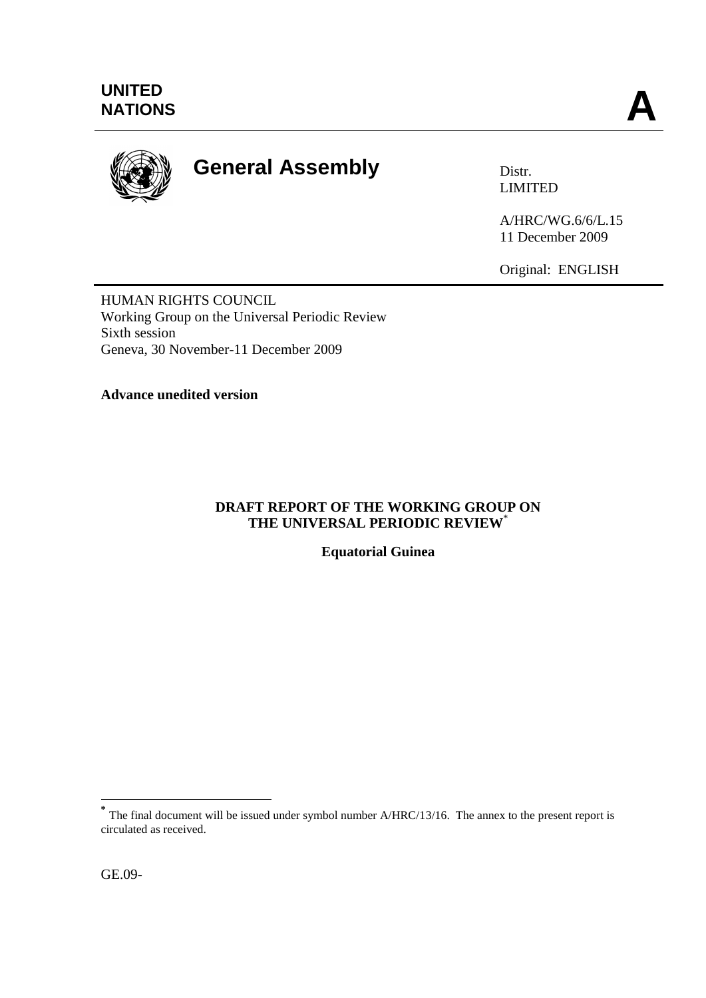

# **General Assembly** Distr.

LIMITED

A/HRC/WG.6/6/L.15 11 December 2009

Original: ENGLISH

HUMAN RIGHTS COUNCIL Working Group on the Universal Periodic Review Sixth session Geneva, 30 November-11 December 2009

**Advance unedited version**

## **DRAFT REPORT OF THE WORKING GROUP ON THE UNIVERSAL PERIODIC REVIEW**\*

**Equatorial Guinea**

1

**<sup>\*</sup>** The final document will be issued under symbol number A/HRC/13/16. The annex to the present report is circulated as received.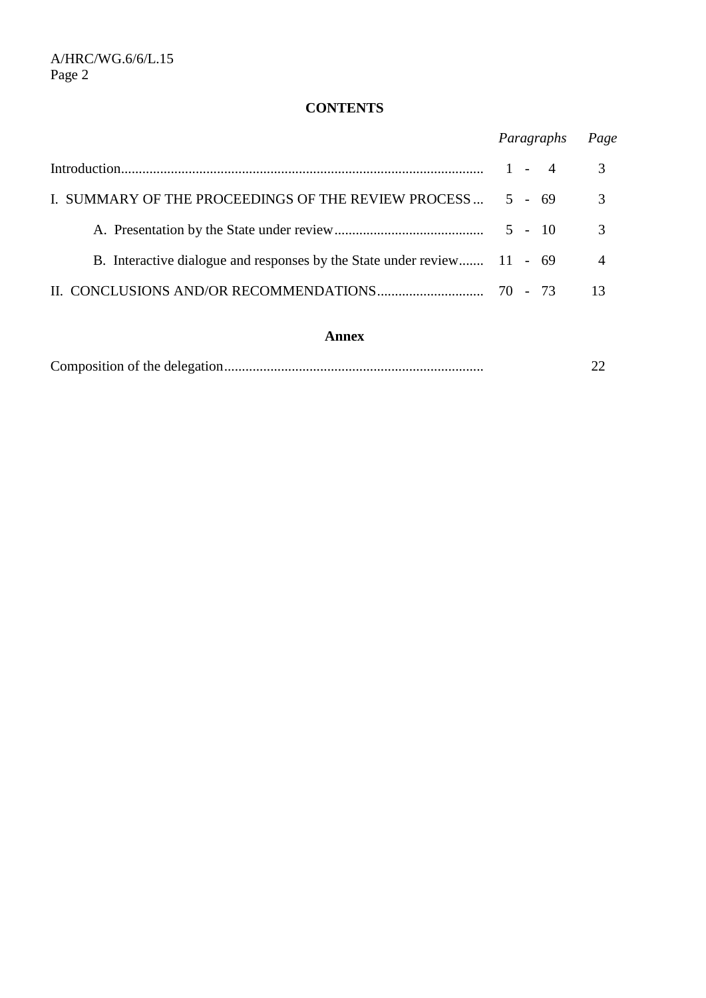## **CONTENTS**

|                                                                         | Paragraphs | Page           |
|-------------------------------------------------------------------------|------------|----------------|
|                                                                         |            | 3              |
| I. SUMMARY OF THE PROCEEDINGS OF THE REVIEW PROCESS                     | $5 - 69$   | 3              |
|                                                                         | $5 - 10$   | 3              |
| B. Interactive dialogue and responses by the State under review 11 - 69 |            | $\overline{A}$ |
|                                                                         |            |                |

## **Annex**

|--|--|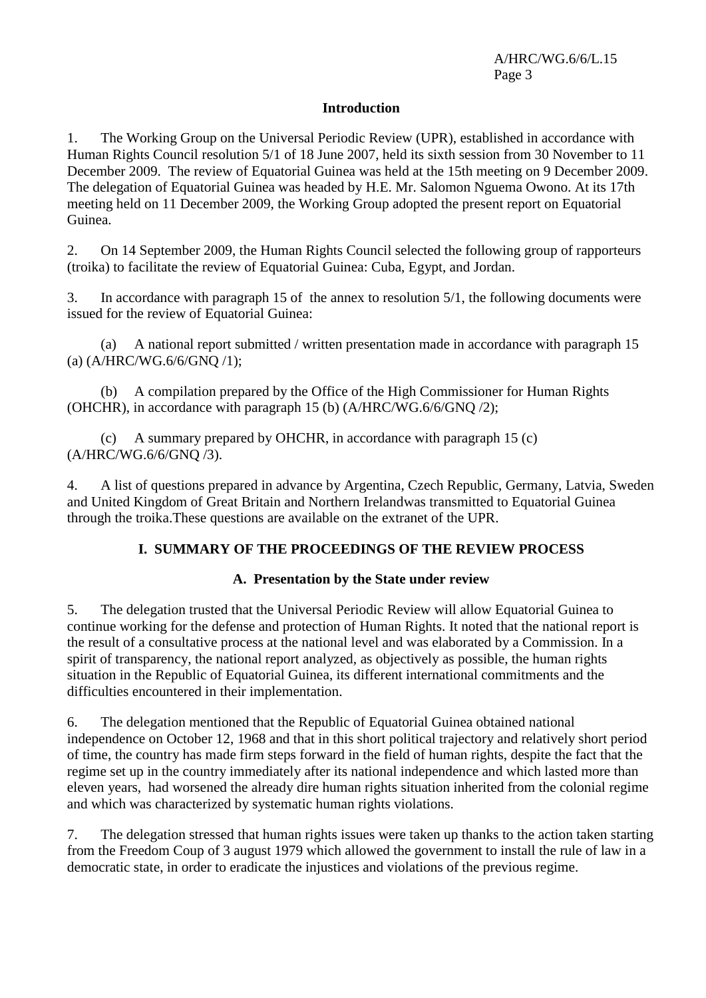### **Introduction**

1. The Working Group on the Universal Periodic Review (UPR), established in accordance with Human Rights Council resolution 5/1 of 18 June 2007, held its sixth session from 30 November to 11 December 2009. The review of Equatorial Guinea was held at the 15th meeting on 9 December 2009. The delegation of Equatorial Guinea was headed by H.E. Mr. Salomon Nguema Owono. At its 17th meeting held on 11 December 2009, the Working Group adopted the present report on Equatorial Guinea.

2. On 14 September 2009, the Human Rights Council selected the following group of rapporteurs (troika) to facilitate the review of Equatorial Guinea: Cuba, Egypt, and Jordan.

3. In accordance with paragraph 15 of the annex to resolution 5/1, the following documents were issued for the review of Equatorial Guinea:

(a) A national report submitted / written presentation made in accordance with paragraph 15 (a) (A/HRC/WG.6/6/GNQ /1);

(b) A compilation prepared by the Office of the High Commissioner for Human Rights (OHCHR), in accordance with paragraph 15 (b) (A/HRC/WG.6/6/GNQ /2);

(c) A summary prepared by OHCHR, in accordance with paragraph  $15$  (c) (A/HRC/WG.6/6/GNQ /3).

4. A list of questions prepared in advance by Argentina, Czech Republic, Germany, Latvia, Sweden and United Kingdom of Great Britain and Northern Irelandwas transmitted to Equatorial Guinea through the troika.These questions are available on the extranet of the UPR.

## **I. SUMMARY OF THE PROCEEDINGS OF THE REVIEW PROCESS**

#### **A. Presentation by the State under review**

5. The delegation trusted that the Universal Periodic Review will allow Equatorial Guinea to continue working for the defense and protection of Human Rights. It noted that the national report is the result of a consultative process at the national level and was elaborated by a Commission. In a spirit of transparency, the national report analyzed, as objectively as possible, the human rights situation in the Republic of Equatorial Guinea, its different international commitments and the difficulties encountered in their implementation.

6. The delegation mentioned that the Republic of Equatorial Guinea obtained national independence on October 12, 1968 and that in this short political trajectory and relatively short period of time, the country has made firm steps forward in the field of human rights, despite the fact that the regime set up in the country immediately after its national independence and which lasted more than eleven years, had worsened the already dire human rights situation inherited from the colonial regime and which was characterized by systematic human rights violations.

7. The delegation stressed that human rights issues were taken up thanks to the action taken starting from the Freedom Coup of 3 august 1979 which allowed the government to install the rule of law in a democratic state, in order to eradicate the injustices and violations of the previous regime.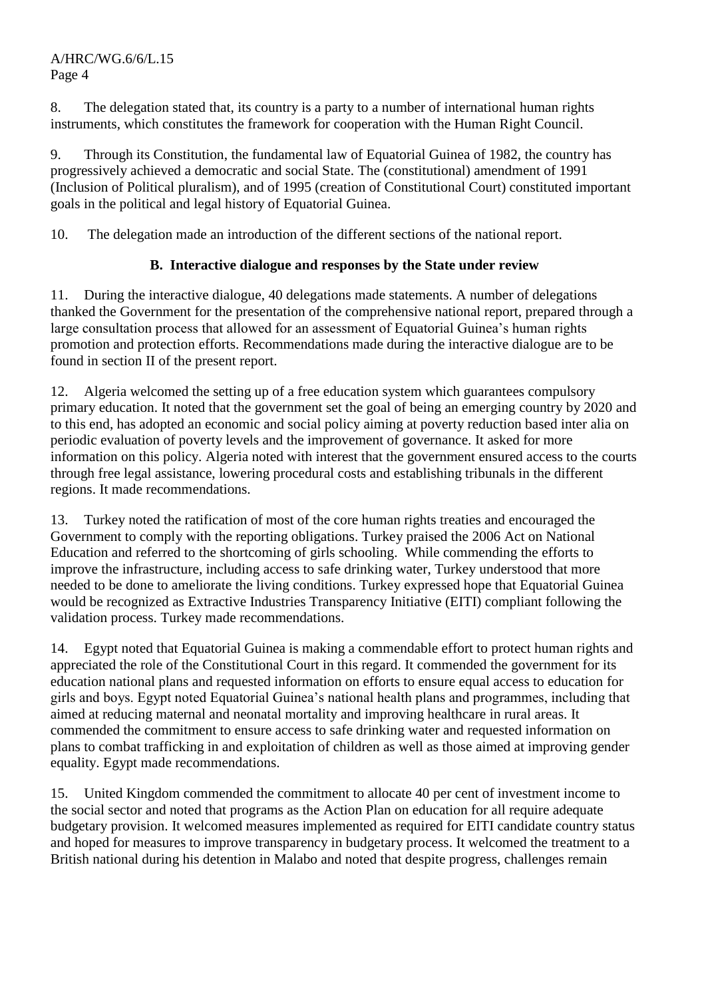8. The delegation stated that, its country is a party to a number of international human rights instruments, which constitutes the framework for cooperation with the Human Right Council.

9. Through its Constitution, the fundamental law of Equatorial Guinea of 1982, the country has progressively achieved a democratic and social State. The (constitutional) amendment of 1991 (Inclusion of Political pluralism), and of 1995 (creation of Constitutional Court) constituted important goals in the political and legal history of Equatorial Guinea.

10. The delegation made an introduction of the different sections of the national report.

## **B. Interactive dialogue and responses by the State under review**

11. During the interactive dialogue, 40 delegations made statements. A number of delegations thanked the Government for the presentation of the comprehensive national report, prepared through a large consultation process that allowed for an assessment of Equatorial Guinea's human rights promotion and protection efforts. Recommendations made during the interactive dialogue are to be found in section II of the present report.

12. Algeria welcomed the setting up of a free education system which guarantees compulsory primary education. It noted that the government set the goal of being an emerging country by 2020 and to this end, has adopted an economic and social policy aiming at poverty reduction based inter alia on periodic evaluation of poverty levels and the improvement of governance. It asked for more information on this policy. Algeria noted with interest that the government ensured access to the courts through free legal assistance, lowering procedural costs and establishing tribunals in the different regions. It made recommendations.

13. Turkey noted the ratification of most of the core human rights treaties and encouraged the Government to comply with the reporting obligations. Turkey praised the 2006 Act on National Education and referred to the shortcoming of girls schooling. While commending the efforts to improve the infrastructure, including access to safe drinking water, Turkey understood that more needed to be done to ameliorate the living conditions. Turkey expressed hope that Equatorial Guinea would be recognized as Extractive Industries Transparency Initiative (EITI) compliant following the validation process. Turkey made recommendations.

14. Egypt noted that Equatorial Guinea is making a commendable effort to protect human rights and appreciated the role of the Constitutional Court in this regard. It commended the government for its education national plans and requested information on efforts to ensure equal access to education for girls and boys. Egypt noted Equatorial Guinea's national health plans and programmes, including that aimed at reducing maternal and neonatal mortality and improving healthcare in rural areas. It commended the commitment to ensure access to safe drinking water and requested information on plans to combat trafficking in and exploitation of children as well as those aimed at improving gender equality. Egypt made recommendations.

15. United Kingdom commended the commitment to allocate 40 per cent of investment income to the social sector and noted that programs as the Action Plan on education for all require adequate budgetary provision. It welcomed measures implemented as required for EITI candidate country status and hoped for measures to improve transparency in budgetary process. It welcomed the treatment to a British national during his detention in Malabo and noted that despite progress, challenges remain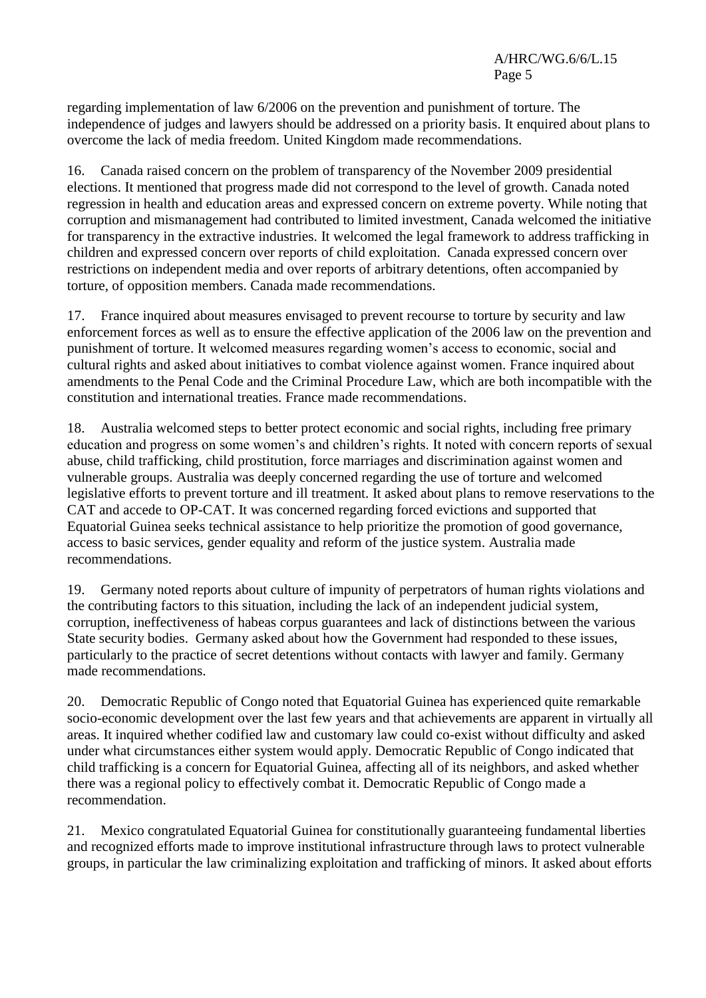regarding implementation of law 6/2006 on the prevention and punishment of torture. The independence of judges and lawyers should be addressed on a priority basis. It enquired about plans to overcome the lack of media freedom. United Kingdom made recommendations.

16. Canada raised concern on the problem of transparency of the November 2009 presidential elections. It mentioned that progress made did not correspond to the level of growth. Canada noted regression in health and education areas and expressed concern on extreme poverty. While noting that corruption and mismanagement had contributed to limited investment, Canada welcomed the initiative for transparency in the extractive industries. It welcomed the legal framework to address trafficking in children and expressed concern over reports of child exploitation. Canada expressed concern over restrictions on independent media and over reports of arbitrary detentions, often accompanied by torture, of opposition members. Canada made recommendations.

17. France inquired about measures envisaged to prevent recourse to torture by security and law enforcement forces as well as to ensure the effective application of the 2006 law on the prevention and punishment of torture. It welcomed measures regarding women's access to economic, social and cultural rights and asked about initiatives to combat violence against women. France inquired about amendments to the Penal Code and the Criminal Procedure Law, which are both incompatible with the constitution and international treaties. France made recommendations.

18. Australia welcomed steps to better protect economic and social rights, including free primary education and progress on some women's and children's rights. It noted with concern reports of sexual abuse, child trafficking, child prostitution, force marriages and discrimination against women and vulnerable groups. Australia was deeply concerned regarding the use of torture and welcomed legislative efforts to prevent torture and ill treatment. It asked about plans to remove reservations to the CAT and accede to OP-CAT. It was concerned regarding forced evictions and supported that Equatorial Guinea seeks technical assistance to help prioritize the promotion of good governance, access to basic services, gender equality and reform of the justice system. Australia made recommendations.

19. Germany noted reports about culture of impunity of perpetrators of human rights violations and the contributing factors to this situation, including the lack of an independent judicial system, corruption, ineffectiveness of habeas corpus guarantees and lack of distinctions between the various State security bodies. Germany asked about how the Government had responded to these issues, particularly to the practice of secret detentions without contacts with lawyer and family. Germany made recommendations.

20. Democratic Republic of Congo noted that Equatorial Guinea has experienced quite remarkable socio-economic development over the last few years and that achievements are apparent in virtually all areas. It inquired whether codified law and customary law could co-exist without difficulty and asked under what circumstances either system would apply. Democratic Republic of Congo indicated that child trafficking is a concern for Equatorial Guinea, affecting all of its neighbors, and asked whether there was a regional policy to effectively combat it. Democratic Republic of Congo made a recommendation.

21. Mexico congratulated Equatorial Guinea for constitutionally guaranteeing fundamental liberties and recognized efforts made to improve institutional infrastructure through laws to protect vulnerable groups, in particular the law criminalizing exploitation and trafficking of minors. It asked about efforts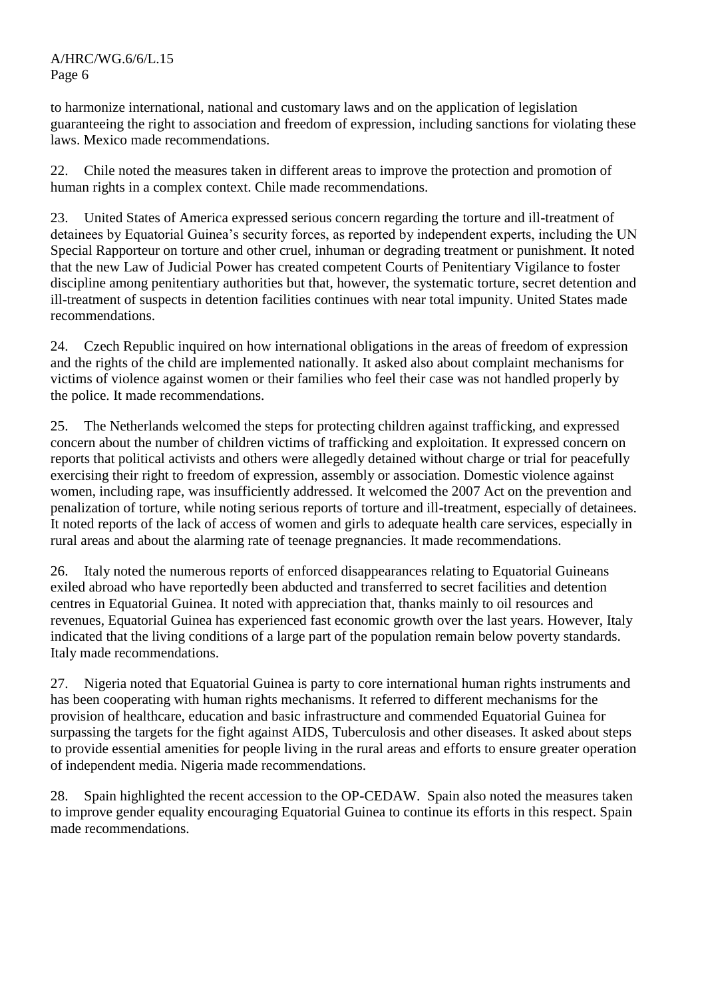to harmonize international, national and customary laws and on the application of legislation guaranteeing the right to association and freedom of expression, including sanctions for violating these laws. Mexico made recommendations.

22. Chile noted the measures taken in different areas to improve the protection and promotion of human rights in a complex context. Chile made recommendations.

23. United States of America expressed serious concern regarding the torture and ill-treatment of detainees by Equatorial Guinea's security forces, as reported by independent experts, including the UN Special Rapporteur on torture and other cruel, inhuman or degrading treatment or punishment. It noted that the new Law of Judicial Power has created competent Courts of Penitentiary Vigilance to foster discipline among penitentiary authorities but that, however, the systematic torture, secret detention and ill-treatment of suspects in detention facilities continues with near total impunity. United States made recommendations.

24. Czech Republic inquired on how international obligations in the areas of freedom of expression and the rights of the child are implemented nationally. It asked also about complaint mechanisms for victims of violence against women or their families who feel their case was not handled properly by the police. It made recommendations.

25. The Netherlands welcomed the steps for protecting children against trafficking, and expressed concern about the number of children victims of trafficking and exploitation. It expressed concern on reports that political activists and others were allegedly detained without charge or trial for peacefully exercising their right to freedom of expression, assembly or association. Domestic violence against women, including rape, was insufficiently addressed. It welcomed the 2007 Act on the prevention and penalization of torture, while noting serious reports of torture and ill-treatment, especially of detainees. It noted reports of the lack of access of women and girls to adequate health care services, especially in rural areas and about the alarming rate of teenage pregnancies. It made recommendations.

26. Italy noted the numerous reports of enforced disappearances relating to Equatorial Guineans exiled abroad who have reportedly been abducted and transferred to secret facilities and detention centres in Equatorial Guinea. It noted with appreciation that, thanks mainly to oil resources and revenues, Equatorial Guinea has experienced fast economic growth over the last years. However, Italy indicated that the living conditions of a large part of the population remain below poverty standards. Italy made recommendations.

27. Nigeria noted that Equatorial Guinea is party to core international human rights instruments and has been cooperating with human rights mechanisms. It referred to different mechanisms for the provision of healthcare, education and basic infrastructure and commended Equatorial Guinea for surpassing the targets for the fight against AIDS, Tuberculosis and other diseases. It asked about steps to provide essential amenities for people living in the rural areas and efforts to ensure greater operation of independent media. Nigeria made recommendations.

28. Spain highlighted the recent accession to the OP-CEDAW. Spain also noted the measures taken to improve gender equality encouraging Equatorial Guinea to continue its efforts in this respect. Spain made recommendations.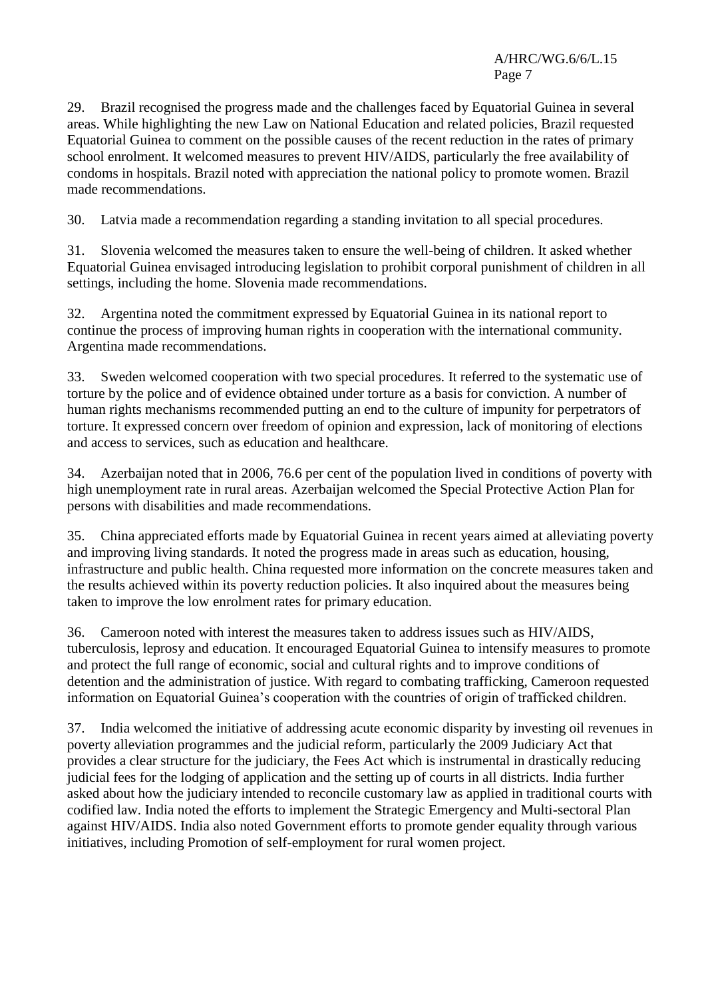29. Brazil recognised the progress made and the challenges faced by Equatorial Guinea in several areas. While highlighting the new Law on National Education and related policies, Brazil requested Equatorial Guinea to comment on the possible causes of the recent reduction in the rates of primary school enrolment. It welcomed measures to prevent HIV/AIDS, particularly the free availability of condoms in hospitals. Brazil noted with appreciation the national policy to promote women. Brazil made recommendations.

30. Latvia made a recommendation regarding a standing invitation to all special procedures.

31. Slovenia welcomed the measures taken to ensure the well-being of children. It asked whether Equatorial Guinea envisaged introducing legislation to prohibit corporal punishment of children in all settings, including the home. Slovenia made recommendations.

32. Argentina noted the commitment expressed by Equatorial Guinea in its national report to continue the process of improving human rights in cooperation with the international community. Argentina made recommendations.

33. Sweden welcomed cooperation with two special procedures. It referred to the systematic use of torture by the police and of evidence obtained under torture as a basis for conviction. A number of human rights mechanisms recommended putting an end to the culture of impunity for perpetrators of torture. It expressed concern over freedom of opinion and expression, lack of monitoring of elections and access to services, such as education and healthcare.

34. Azerbaijan noted that in 2006, 76.6 per cent of the population lived in conditions of poverty with high unemployment rate in rural areas. Azerbaijan welcomed the Special Protective Action Plan for persons with disabilities and made recommendations.

35. China appreciated efforts made by Equatorial Guinea in recent years aimed at alleviating poverty and improving living standards. It noted the progress made in areas such as education, housing, infrastructure and public health. China requested more information on the concrete measures taken and the results achieved within its poverty reduction policies. It also inquired about the measures being taken to improve the low enrolment rates for primary education.

36. Cameroon noted with interest the measures taken to address issues such as HIV/AIDS, tuberculosis, leprosy and education. It encouraged Equatorial Guinea to intensify measures to promote and protect the full range of economic, social and cultural rights and to improve conditions of detention and the administration of justice. With regard to combating trafficking, Cameroon requested information on Equatorial Guinea's cooperation with the countries of origin of trafficked children.

37. India welcomed the initiative of addressing acute economic disparity by investing oil revenues in poverty alleviation programmes and the judicial reform, particularly the 2009 Judiciary Act that provides a clear structure for the judiciary, the Fees Act which is instrumental in drastically reducing judicial fees for the lodging of application and the setting up of courts in all districts. India further asked about how the judiciary intended to reconcile customary law as applied in traditional courts with codified law. India noted the efforts to implement the Strategic Emergency and Multi-sectoral Plan against HIV/AIDS. India also noted Government efforts to promote gender equality through various initiatives, including Promotion of self-employment for rural women project.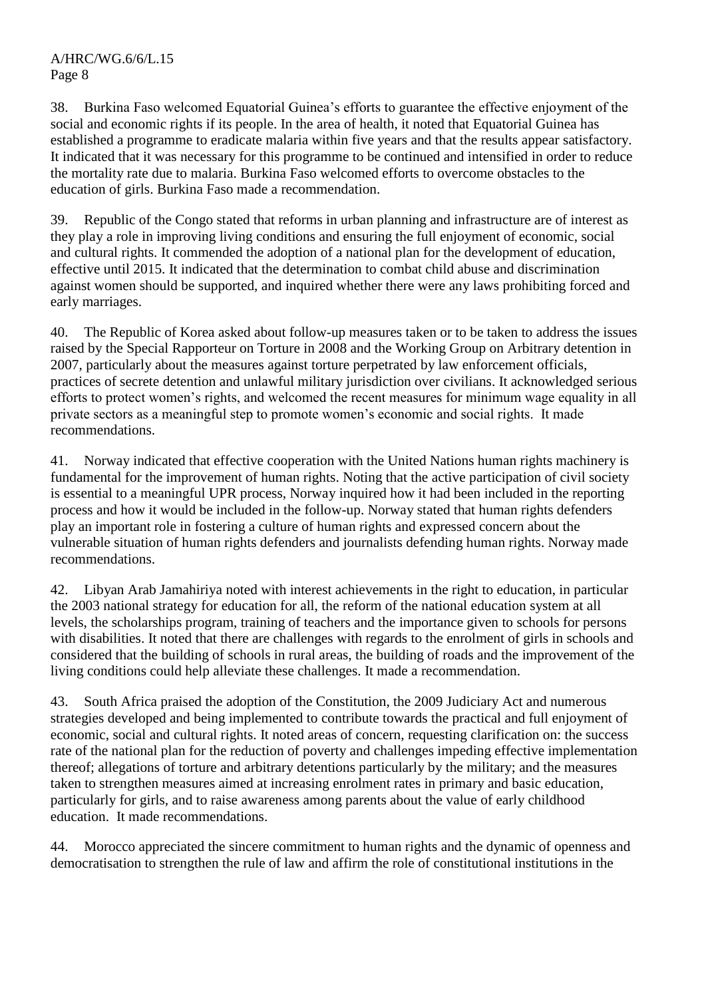38. Burkina Faso welcomed Equatorial Guinea's efforts to guarantee the effective enjoyment of the social and economic rights if its people. In the area of health, it noted that Equatorial Guinea has established a programme to eradicate malaria within five years and that the results appear satisfactory. It indicated that it was necessary for this programme to be continued and intensified in order to reduce the mortality rate due to malaria. Burkina Faso welcomed efforts to overcome obstacles to the education of girls. Burkina Faso made a recommendation.

39. Republic of the Congo stated that reforms in urban planning and infrastructure are of interest as they play a role in improving living conditions and ensuring the full enjoyment of economic, social and cultural rights. It commended the adoption of a national plan for the development of education, effective until 2015. It indicated that the determination to combat child abuse and discrimination against women should be supported, and inquired whether there were any laws prohibiting forced and early marriages.

40. The Republic of Korea asked about follow-up measures taken or to be taken to address the issues raised by the Special Rapporteur on Torture in 2008 and the Working Group on Arbitrary detention in 2007, particularly about the measures against torture perpetrated by law enforcement officials, practices of secrete detention and unlawful military jurisdiction over civilians. It acknowledged serious efforts to protect women's rights, and welcomed the recent measures for minimum wage equality in all private sectors as a meaningful step to promote women's economic and social rights. It made recommendations.

41. Norway indicated that effective cooperation with the United Nations human rights machinery is fundamental for the improvement of human rights. Noting that the active participation of civil society is essential to a meaningful UPR process, Norway inquired how it had been included in the reporting process and how it would be included in the follow-up. Norway stated that human rights defenders play an important role in fostering a culture of human rights and expressed concern about the vulnerable situation of human rights defenders and journalists defending human rights. Norway made recommendations.

42. Libyan Arab Jamahiriya noted with interest achievements in the right to education, in particular the 2003 national strategy for education for all, the reform of the national education system at all levels, the scholarships program, training of teachers and the importance given to schools for persons with disabilities. It noted that there are challenges with regards to the enrolment of girls in schools and considered that the building of schools in rural areas, the building of roads and the improvement of the living conditions could help alleviate these challenges. It made a recommendation.

43. South Africa praised the adoption of the Constitution, the 2009 Judiciary Act and numerous strategies developed and being implemented to contribute towards the practical and full enjoyment of economic, social and cultural rights. It noted areas of concern, requesting clarification on: the success rate of the national plan for the reduction of poverty and challenges impeding effective implementation thereof; allegations of torture and arbitrary detentions particularly by the military; and the measures taken to strengthen measures aimed at increasing enrolment rates in primary and basic education, particularly for girls, and to raise awareness among parents about the value of early childhood education. It made recommendations.

44. Morocco appreciated the sincere commitment to human rights and the dynamic of openness and democratisation to strengthen the rule of law and affirm the role of constitutional institutions in the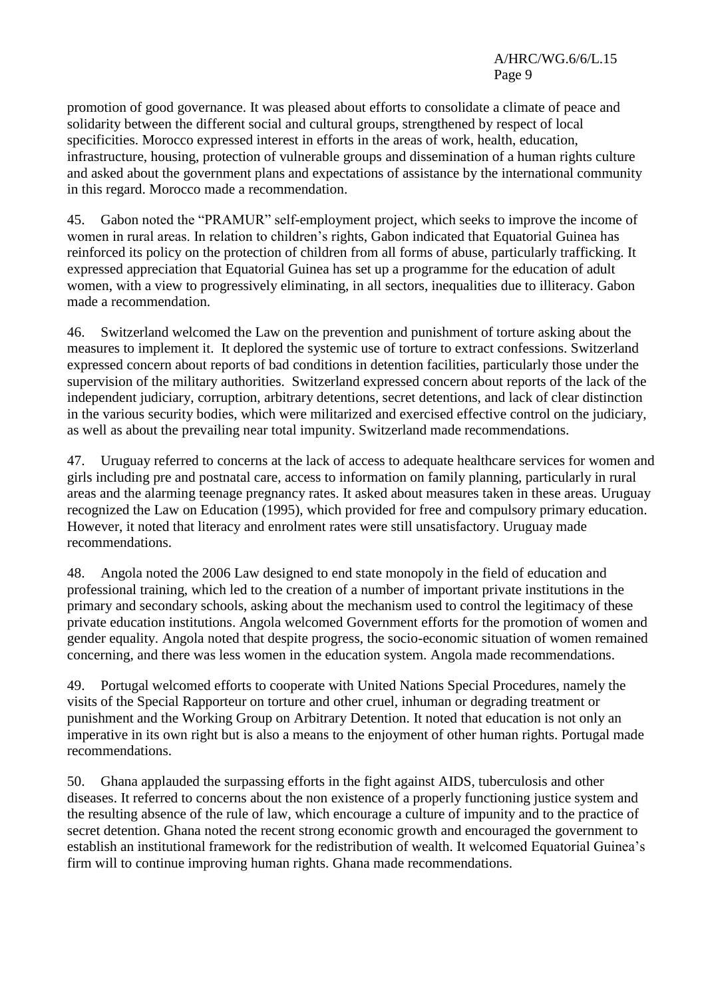promotion of good governance. It was pleased about efforts to consolidate a climate of peace and solidarity between the different social and cultural groups, strengthened by respect of local specificities. Morocco expressed interest in efforts in the areas of work, health, education, infrastructure, housing, protection of vulnerable groups and dissemination of a human rights culture and asked about the government plans and expectations of assistance by the international community in this regard. Morocco made a recommendation.

45. Gabon noted the "PRAMUR" self-employment project, which seeks to improve the income of women in rural areas. In relation to children's rights, Gabon indicated that Equatorial Guinea has reinforced its policy on the protection of children from all forms of abuse, particularly trafficking. It expressed appreciation that Equatorial Guinea has set up a programme for the education of adult women, with a view to progressively eliminating, in all sectors, inequalities due to illiteracy. Gabon made a recommendation.

46. Switzerland welcomed the Law on the prevention and punishment of torture asking about the measures to implement it. It deplored the systemic use of torture to extract confessions. Switzerland expressed concern about reports of bad conditions in detention facilities, particularly those under the supervision of the military authorities. Switzerland expressed concern about reports of the lack of the independent judiciary, corruption, arbitrary detentions, secret detentions, and lack of clear distinction in the various security bodies, which were militarized and exercised effective control on the judiciary, as well as about the prevailing near total impunity. Switzerland made recommendations.

47. Uruguay referred to concerns at the lack of access to adequate healthcare services for women and girls including pre and postnatal care, access to information on family planning, particularly in rural areas and the alarming teenage pregnancy rates. It asked about measures taken in these areas. Uruguay recognized the Law on Education (1995), which provided for free and compulsory primary education. However, it noted that literacy and enrolment rates were still unsatisfactory. Uruguay made recommendations.

48. Angola noted the 2006 Law designed to end state monopoly in the field of education and professional training, which led to the creation of a number of important private institutions in the primary and secondary schools, asking about the mechanism used to control the legitimacy of these private education institutions. Angola welcomed Government efforts for the promotion of women and gender equality. Angola noted that despite progress, the socio-economic situation of women remained concerning, and there was less women in the education system. Angola made recommendations.

49. Portugal welcomed efforts to cooperate with United Nations Special Procedures, namely the visits of the Special Rapporteur on torture and other cruel, inhuman or degrading treatment or punishment and the Working Group on Arbitrary Detention. It noted that education is not only an imperative in its own right but is also a means to the enjoyment of other human rights. Portugal made recommendations.

50. Ghana applauded the surpassing efforts in the fight against AIDS, tuberculosis and other diseases. It referred to concerns about the non existence of a properly functioning justice system and the resulting absence of the rule of law, which encourage a culture of impunity and to the practice of secret detention. Ghana noted the recent strong economic growth and encouraged the government to establish an institutional framework for the redistribution of wealth. It welcomed Equatorial Guinea's firm will to continue improving human rights. Ghana made recommendations.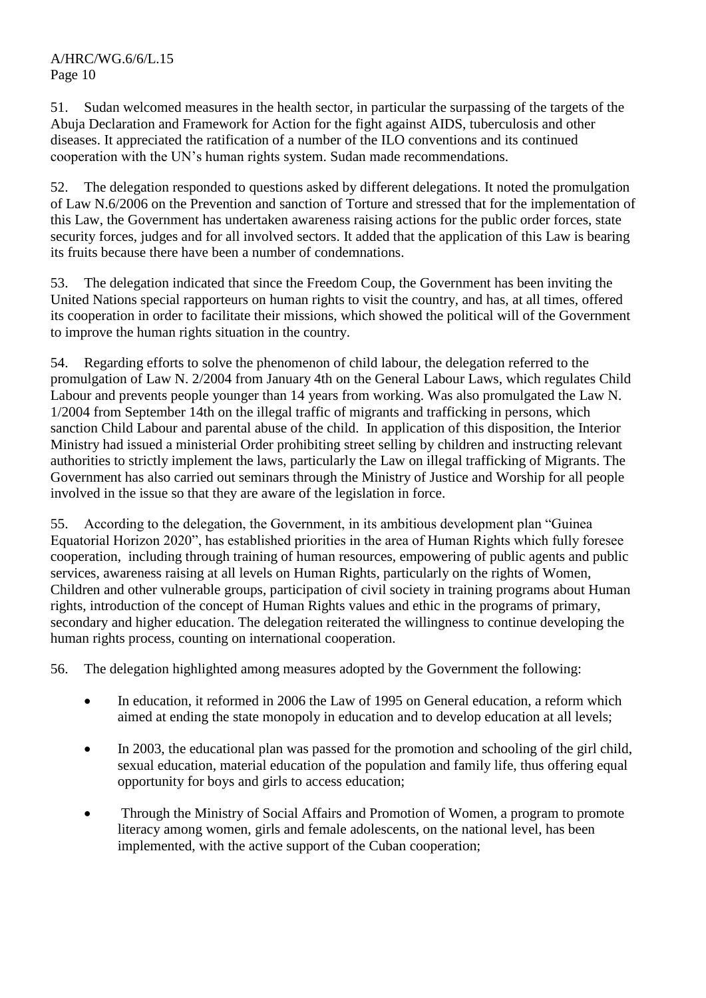51. Sudan welcomed measures in the health sector, in particular the surpassing of the targets of the Abuja Declaration and Framework for Action for the fight against AIDS, tuberculosis and other diseases. It appreciated the ratification of a number of the ILO conventions and its continued cooperation with the UN's human rights system. Sudan made recommendations.

52. The delegation responded to questions asked by different delegations. It noted the promulgation of Law N.6/2006 on the Prevention and sanction of Torture and stressed that for the implementation of this Law, the Government has undertaken awareness raising actions for the public order forces, state security forces, judges and for all involved sectors. It added that the application of this Law is bearing its fruits because there have been a number of condemnations.

53. The delegation indicated that since the Freedom Coup, the Government has been inviting the United Nations special rapporteurs on human rights to visit the country, and has, at all times, offered its cooperation in order to facilitate their missions, which showed the political will of the Government to improve the human rights situation in the country.

54. Regarding efforts to solve the phenomenon of child labour, the delegation referred to the promulgation of Law N. 2/2004 from January 4th on the General Labour Laws, which regulates Child Labour and prevents people younger than 14 years from working. Was also promulgated the Law N. 1/2004 from September 14th on the illegal traffic of migrants and trafficking in persons, which sanction Child Labour and parental abuse of the child. In application of this disposition, the Interior Ministry had issued a ministerial Order prohibiting street selling by children and instructing relevant authorities to strictly implement the laws, particularly the Law on illegal trafficking of Migrants. The Government has also carried out seminars through the Ministry of Justice and Worship for all people involved in the issue so that they are aware of the legislation in force.

55. According to the delegation, the Government, in its ambitious development plan "Guinea Equatorial Horizon 2020", has established priorities in the area of Human Rights which fully foresee cooperation, including through training of human resources, empowering of public agents and public services, awareness raising at all levels on Human Rights, particularly on the rights of Women, Children and other vulnerable groups, participation of civil society in training programs about Human rights, introduction of the concept of Human Rights values and ethic in the programs of primary, secondary and higher education. The delegation reiterated the willingness to continue developing the human rights process, counting on international cooperation.

56. The delegation highlighted among measures adopted by the Government the following:

- In education, it reformed in 2006 the Law of 1995 on General education, a reform which aimed at ending the state monopoly in education and to develop education at all levels;
- In 2003, the educational plan was passed for the promotion and schooling of the girl child, sexual education, material education of the population and family life, thus offering equal opportunity for boys and girls to access education;
- Through the Ministry of Social Affairs and Promotion of Women, a program to promote literacy among women, girls and female adolescents, on the national level, has been implemented, with the active support of the Cuban cooperation;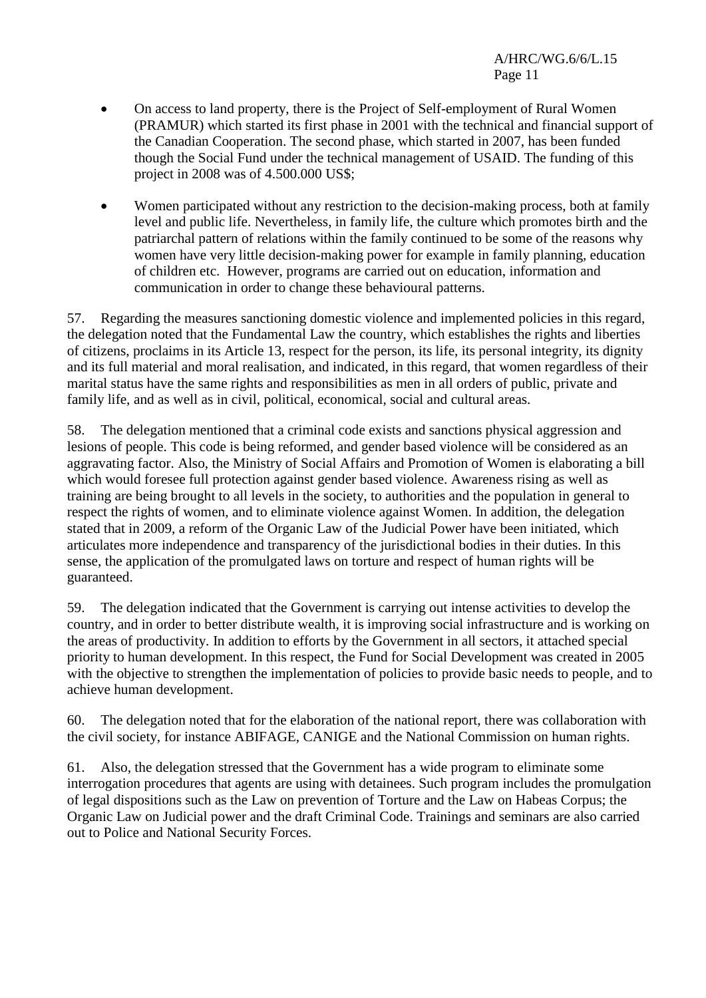- On access to land property, there is the Project of Self-employment of Rural Women (PRAMUR) which started its first phase in 2001 with the technical and financial support of the Canadian Cooperation. The second phase, which started in 2007, has been funded though the Social Fund under the technical management of USAID. The funding of this project in 2008 was of 4.500.000 US\$;
- Women participated without any restriction to the decision-making process, both at family level and public life. Nevertheless, in family life, the culture which promotes birth and the patriarchal pattern of relations within the family continued to be some of the reasons why women have very little decision-making power for example in family planning, education of children etc. However, programs are carried out on education, information and communication in order to change these behavioural patterns.

57. Regarding the measures sanctioning domestic violence and implemented policies in this regard, the delegation noted that the Fundamental Law the country, which establishes the rights and liberties of citizens, proclaims in its Article 13, respect for the person, its life, its personal integrity, its dignity and its full material and moral realisation, and indicated, in this regard, that women regardless of their marital status have the same rights and responsibilities as men in all orders of public, private and family life, and as well as in civil, political, economical, social and cultural areas.

58. The delegation mentioned that a criminal code exists and sanctions physical aggression and lesions of people. This code is being reformed, and gender based violence will be considered as an aggravating factor. Also, the Ministry of Social Affairs and Promotion of Women is elaborating a bill which would foresee full protection against gender based violence. Awareness rising as well as training are being brought to all levels in the society, to authorities and the population in general to respect the rights of women, and to eliminate violence against Women. In addition, the delegation stated that in 2009, a reform of the Organic Law of the Judicial Power have been initiated, which articulates more independence and transparency of the jurisdictional bodies in their duties. In this sense, the application of the promulgated laws on torture and respect of human rights will be guaranteed.

59. The delegation indicated that the Government is carrying out intense activities to develop the country, and in order to better distribute wealth, it is improving social infrastructure and is working on the areas of productivity. In addition to efforts by the Government in all sectors, it attached special priority to human development. In this respect, the Fund for Social Development was created in 2005 with the objective to strengthen the implementation of policies to provide basic needs to people, and to achieve human development.

60. The delegation noted that for the elaboration of the national report, there was collaboration with the civil society, for instance ABIFAGE, CANIGE and the National Commission on human rights.

61. Also, the delegation stressed that the Government has a wide program to eliminate some interrogation procedures that agents are using with detainees. Such program includes the promulgation of legal dispositions such as the Law on prevention of Torture and the Law on Habeas Corpus; the Organic Law on Judicial power and the draft Criminal Code. Trainings and seminars are also carried out to Police and National Security Forces.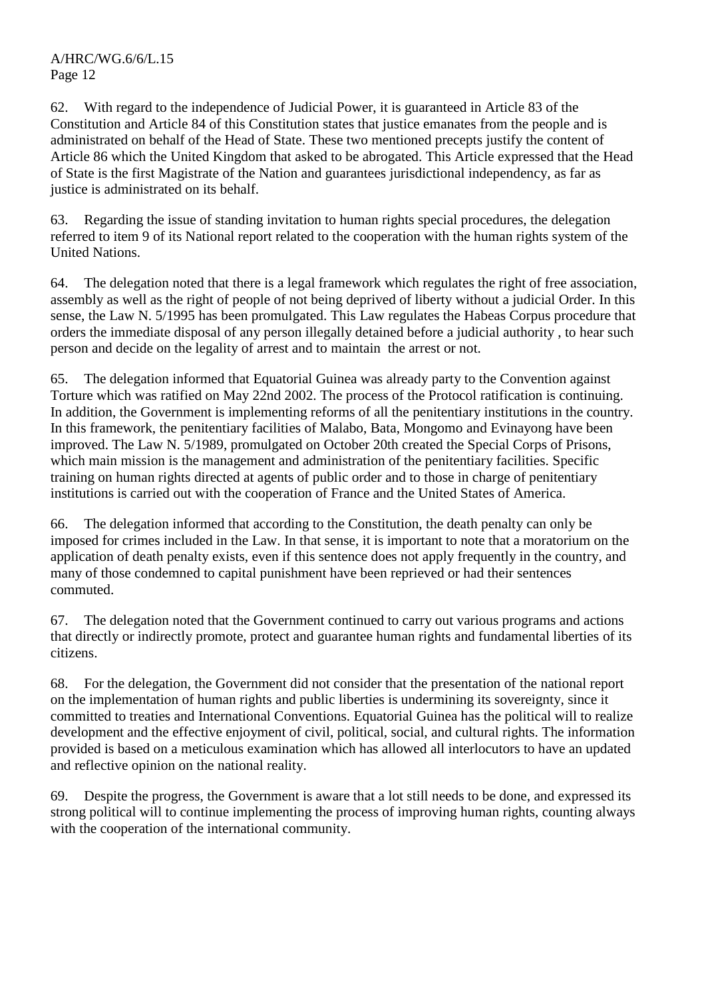62. With regard to the independence of Judicial Power, it is guaranteed in Article 83 of the Constitution and Article 84 of this Constitution states that justice emanates from the people and is administrated on behalf of the Head of State. These two mentioned precepts justify the content of Article 86 which the United Kingdom that asked to be abrogated. This Article expressed that the Head of State is the first Magistrate of the Nation and guarantees jurisdictional independency, as far as justice is administrated on its behalf.

63. Regarding the issue of standing invitation to human rights special procedures, the delegation referred to item 9 of its National report related to the cooperation with the human rights system of the United Nations.

64. The delegation noted that there is a legal framework which regulates the right of free association, assembly as well as the right of people of not being deprived of liberty without a judicial Order. In this sense, the Law N. 5/1995 has been promulgated. This Law regulates the Habeas Corpus procedure that orders the immediate disposal of any person illegally detained before a judicial authority , to hear such person and decide on the legality of arrest and to maintain the arrest or not.

65. The delegation informed that Equatorial Guinea was already party to the Convention against Torture which was ratified on May 22nd 2002. The process of the Protocol ratification is continuing. In addition, the Government is implementing reforms of all the penitentiary institutions in the country. In this framework, the penitentiary facilities of Malabo, Bata, Mongomo and Evinayong have been improved. The Law N. 5/1989, promulgated on October 20th created the Special Corps of Prisons, which main mission is the management and administration of the penitentiary facilities. Specific training on human rights directed at agents of public order and to those in charge of penitentiary institutions is carried out with the cooperation of France and the United States of America.

66. The delegation informed that according to the Constitution, the death penalty can only be imposed for crimes included in the Law. In that sense, it is important to note that a moratorium on the application of death penalty exists, even if this sentence does not apply frequently in the country, and many of those condemned to capital punishment have been reprieved or had their sentences commuted.

67. The delegation noted that the Government continued to carry out various programs and actions that directly or indirectly promote, protect and guarantee human rights and fundamental liberties of its citizens.

68. For the delegation, the Government did not consider that the presentation of the national report on the implementation of human rights and public liberties is undermining its sovereignty, since it committed to treaties and International Conventions. Equatorial Guinea has the political will to realize development and the effective enjoyment of civil, political, social, and cultural rights. The information provided is based on a meticulous examination which has allowed all interlocutors to have an updated and reflective opinion on the national reality.

69. Despite the progress, the Government is aware that a lot still needs to be done, and expressed its strong political will to continue implementing the process of improving human rights, counting always with the cooperation of the international community.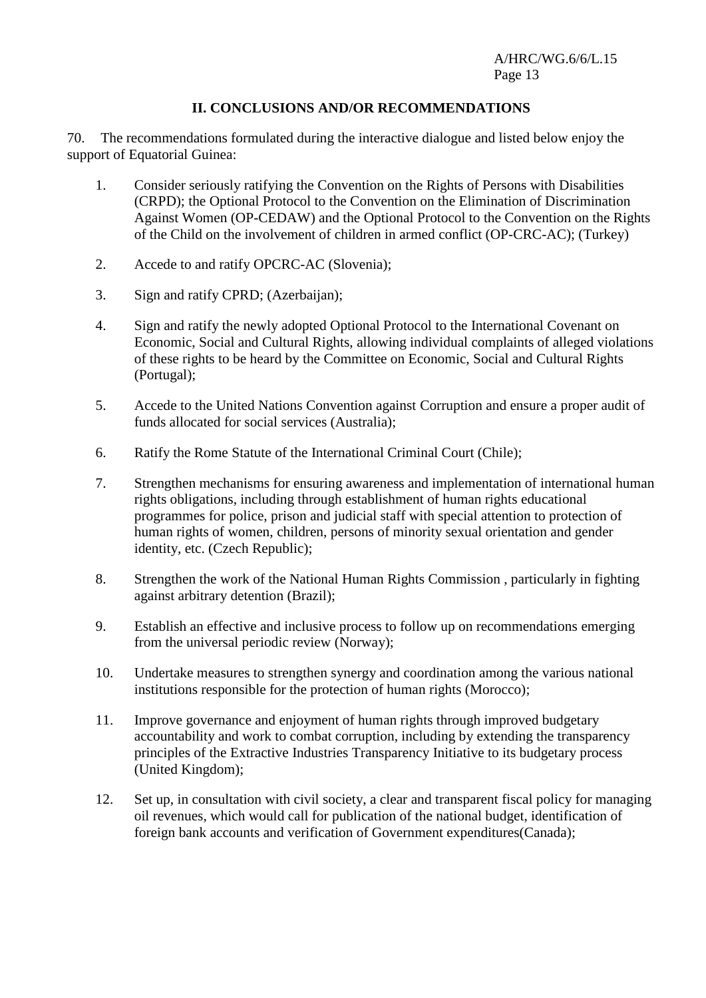#### **II. CONCLUSIONS AND/OR RECOMMENDATIONS**

70. The recommendations formulated during the interactive dialogue and listed below enjoy the support of Equatorial Guinea:

- 1. Consider seriously ratifying the Convention on the Rights of Persons with Disabilities (CRPD); the Optional Protocol to the Convention on the Elimination of Discrimination Against Women (OP-CEDAW) and the Optional Protocol to the Convention on the Rights of the Child on the involvement of children in armed conflict (OP-CRC-AC); (Turkey)
- 2. Accede to and ratify OPCRC-AC (Slovenia);
- 3. Sign and ratify CPRD; (Azerbaijan);
- 4. Sign and ratify the newly adopted Optional Protocol to the International Covenant on Economic, Social and Cultural Rights, allowing individual complaints of alleged violations of these rights to be heard by the Committee on Economic, Social and Cultural Rights (Portugal);
- 5. Accede to the United Nations Convention against Corruption and ensure a proper audit of funds allocated for social services (Australia);
- 6. Ratify the Rome Statute of the International Criminal Court (Chile);
- 7. Strengthen mechanisms for ensuring awareness and implementation of international human rights obligations, including through establishment of human rights educational programmes for police, prison and judicial staff with special attention to protection of human rights of women, children, persons of minority sexual orientation and gender identity, etc. (Czech Republic);
- 8. Strengthen the work of the National Human Rights Commission , particularly in fighting against arbitrary detention (Brazil);
- 9. Establish an effective and inclusive process to follow up on recommendations emerging from the universal periodic review (Norway);
- 10. Undertake measures to strengthen synergy and coordination among the various national institutions responsible for the protection of human rights (Morocco);
- 11. Improve governance and enjoyment of human rights through improved budgetary accountability and work to combat corruption, including by extending the transparency principles of the Extractive Industries Transparency Initiative to its budgetary process (United Kingdom);
- 12. Set up, in consultation with civil society, a clear and transparent fiscal policy for managing oil revenues, which would call for publication of the national budget, identification of foreign bank accounts and verification of Government expenditures(Canada);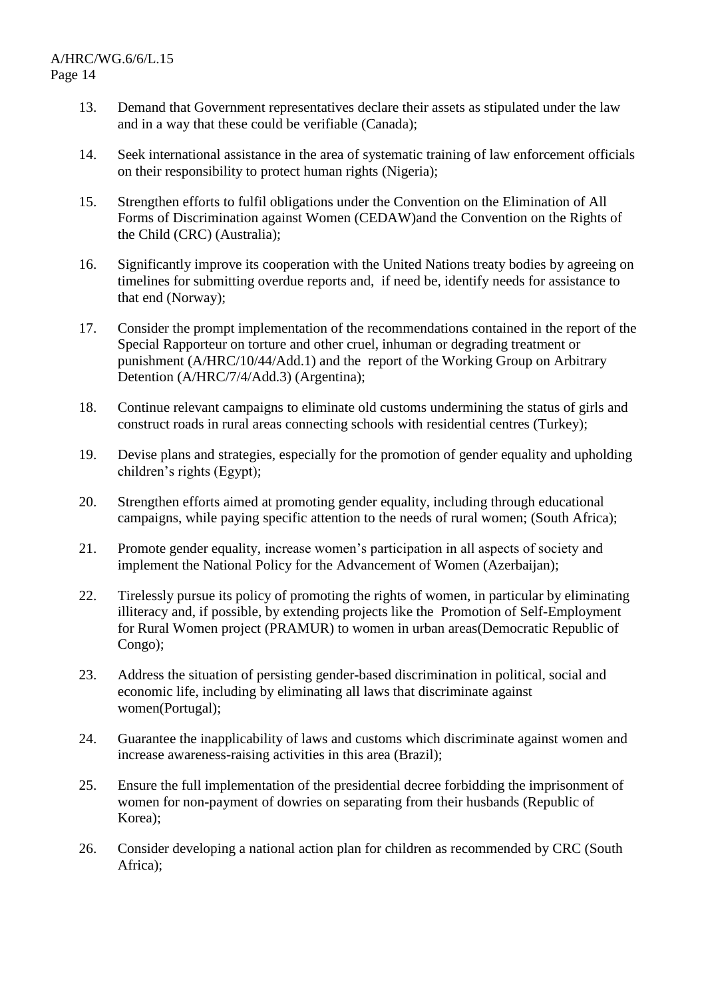- 13. Demand that Government representatives declare their assets as stipulated under the law and in a way that these could be verifiable (Canada);
- 14. Seek international assistance in the area of systematic training of law enforcement officials on their responsibility to protect human rights (Nigeria);
- 15. Strengthen efforts to fulfil obligations under the Convention on the Elimination of All Forms of Discrimination against Women (CEDAW)and the Convention on the Rights of the Child (CRC) (Australia);
- 16. Significantly improve its cooperation with the United Nations treaty bodies by agreeing on timelines for submitting overdue reports and, if need be, identify needs for assistance to that end (Norway);
- 17. Consider the prompt implementation of the recommendations contained in the report of the Special Rapporteur on torture and other cruel, inhuman or degrading treatment or punishment (A/HRC/10/44/Add.1) and the report of the Working Group on Arbitrary Detention (A/HRC/7/4/Add.3) (Argentina);
- 18. Continue relevant campaigns to eliminate old customs undermining the status of girls and construct roads in rural areas connecting schools with residential centres (Turkey);
- 19. Devise plans and strategies, especially for the promotion of gender equality and upholding children's rights (Egypt);
- 20. Strengthen efforts aimed at promoting gender equality, including through educational campaigns, while paying specific attention to the needs of rural women; (South Africa);
- 21. Promote gender equality, increase women's participation in all aspects of society and implement the National Policy for the Advancement of Women (Azerbaijan);
- 22. Tirelessly pursue its policy of promoting the rights of women, in particular by eliminating illiteracy and, if possible, by extending projects like the Promotion of Self-Employment for Rural Women project (PRAMUR) to women in urban areas(Democratic Republic of Congo);
- 23. Address the situation of persisting gender-based discrimination in political, social and economic life, including by eliminating all laws that discriminate against women(Portugal);
- 24. Guarantee the inapplicability of laws and customs which discriminate against women and increase awareness-raising activities in this area (Brazil);
- 25. Ensure the full implementation of the presidential decree forbidding the imprisonment of women for non-payment of dowries on separating from their husbands (Republic of Korea);
- 26. Consider developing a national action plan for children as recommended by CRC (South Africa);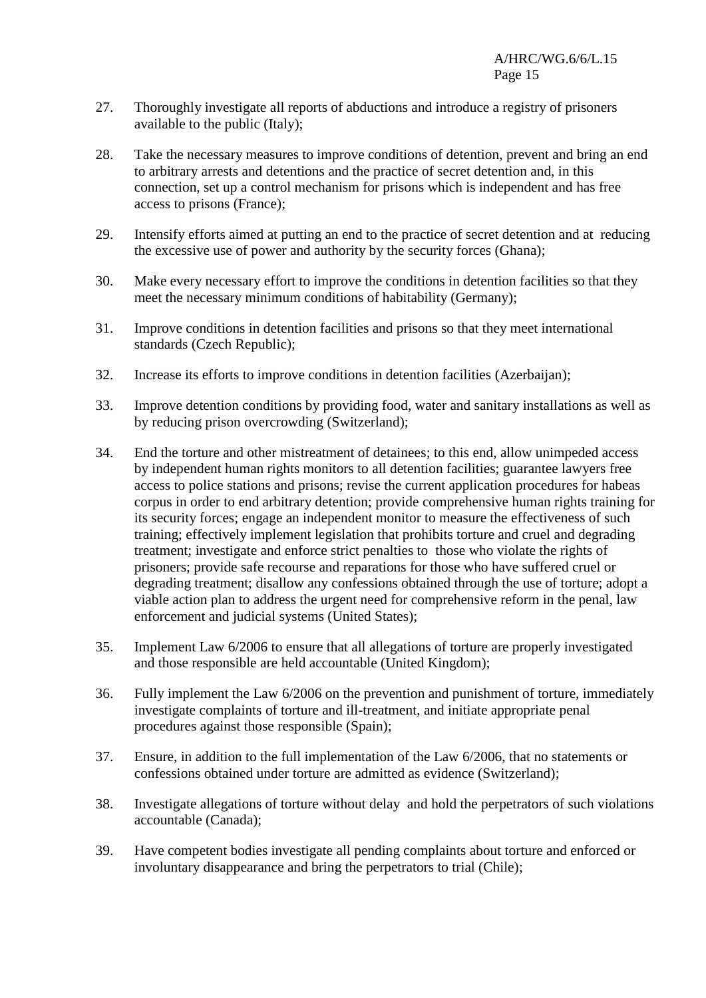- 27. Thoroughly investigate all reports of abductions and introduce a registry of prisoners available to the public (Italy);
- 28. Take the necessary measures to improve conditions of detention, prevent and bring an end to arbitrary arrests and detentions and the practice of secret detention and, in this connection, set up a control mechanism for prisons which is independent and has free access to prisons (France);
- 29. Intensify efforts aimed at putting an end to the practice of secret detention and at reducing the excessive use of power and authority by the security forces (Ghana);
- 30. Make every necessary effort to improve the conditions in detention facilities so that they meet the necessary minimum conditions of habitability (Germany);
- 31. Improve conditions in detention facilities and prisons so that they meet international standards (Czech Republic);
- 32. Increase its efforts to improve conditions in detention facilities (Azerbaijan);
- 33. Improve detention conditions by providing food, water and sanitary installations as well as by reducing prison overcrowding (Switzerland);
- 34. End the torture and other mistreatment of detainees; to this end, allow unimpeded access by independent human rights monitors to all detention facilities; guarantee lawyers free access to police stations and prisons; revise the current application procedures for habeas corpus in order to end arbitrary detention; provide comprehensive human rights training for its security forces; engage an independent monitor to measure the effectiveness of such training; effectively implement legislation that prohibits torture and cruel and degrading treatment; investigate and enforce strict penalties to those who violate the rights of prisoners; provide safe recourse and reparations for those who have suffered cruel or degrading treatment; disallow any confessions obtained through the use of torture; adopt a viable action plan to address the urgent need for comprehensive reform in the penal, law enforcement and judicial systems (United States);
- 35. Implement Law 6/2006 to ensure that all allegations of torture are properly investigated and those responsible are held accountable (United Kingdom);
- 36. Fully implement the Law 6/2006 on the prevention and punishment of torture, immediately investigate complaints of torture and ill-treatment, and initiate appropriate penal procedures against those responsible (Spain);
- 37. Ensure, in addition to the full implementation of the Law 6/2006, that no statements or confessions obtained under torture are admitted as evidence (Switzerland);
- 38. Investigate allegations of torture without delay and hold the perpetrators of such violations accountable (Canada);
- 39. Have competent bodies investigate all pending complaints about torture and enforced or involuntary disappearance and bring the perpetrators to trial (Chile);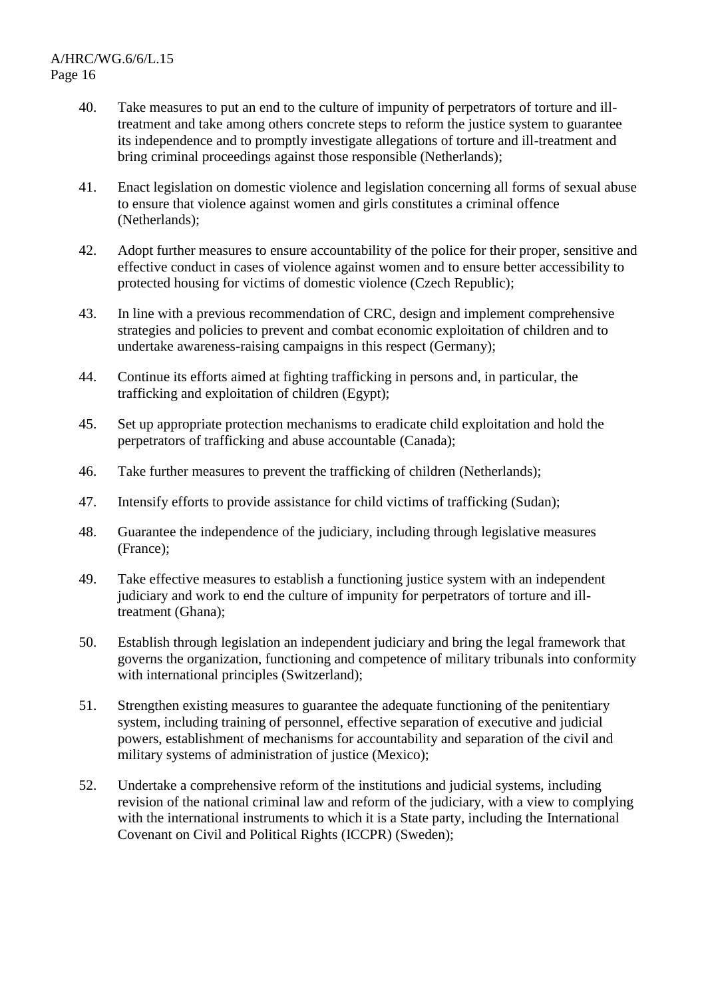- 40. Take measures to put an end to the culture of impunity of perpetrators of torture and illtreatment and take among others concrete steps to reform the justice system to guarantee its independence and to promptly investigate allegations of torture and ill-treatment and bring criminal proceedings against those responsible (Netherlands);
- 41. Enact legislation on domestic violence and legislation concerning all forms of sexual abuse to ensure that violence against women and girls constitutes a criminal offence (Netherlands);
- 42. Adopt further measures to ensure accountability of the police for their proper, sensitive and effective conduct in cases of violence against women and to ensure better accessibility to protected housing for victims of domestic violence (Czech Republic);
- 43. In line with a previous recommendation of CRC, design and implement comprehensive strategies and policies to prevent and combat economic exploitation of children and to undertake awareness-raising campaigns in this respect (Germany);
- 44. Continue its efforts aimed at fighting trafficking in persons and, in particular, the trafficking and exploitation of children (Egypt);
- 45. Set up appropriate protection mechanisms to eradicate child exploitation and hold the perpetrators of trafficking and abuse accountable (Canada);
- 46. Take further measures to prevent the trafficking of children (Netherlands);
- 47. Intensify efforts to provide assistance for child victims of trafficking (Sudan);
- 48. Guarantee the independence of the judiciary, including through legislative measures (France);
- 49. Take effective measures to establish a functioning justice system with an independent judiciary and work to end the culture of impunity for perpetrators of torture and illtreatment (Ghana);
- 50. Establish through legislation an independent judiciary and bring the legal framework that governs the organization, functioning and competence of military tribunals into conformity with international principles (Switzerland);
- 51. Strengthen existing measures to guarantee the adequate functioning of the penitentiary system, including training of personnel, effective separation of executive and judicial powers, establishment of mechanisms for accountability and separation of the civil and military systems of administration of justice (Mexico);
- 52. Undertake a comprehensive reform of the institutions and judicial systems, including revision of the national criminal law and reform of the judiciary, with a view to complying with the international instruments to which it is a State party, including the International Covenant on Civil and Political Rights (ICCPR) (Sweden);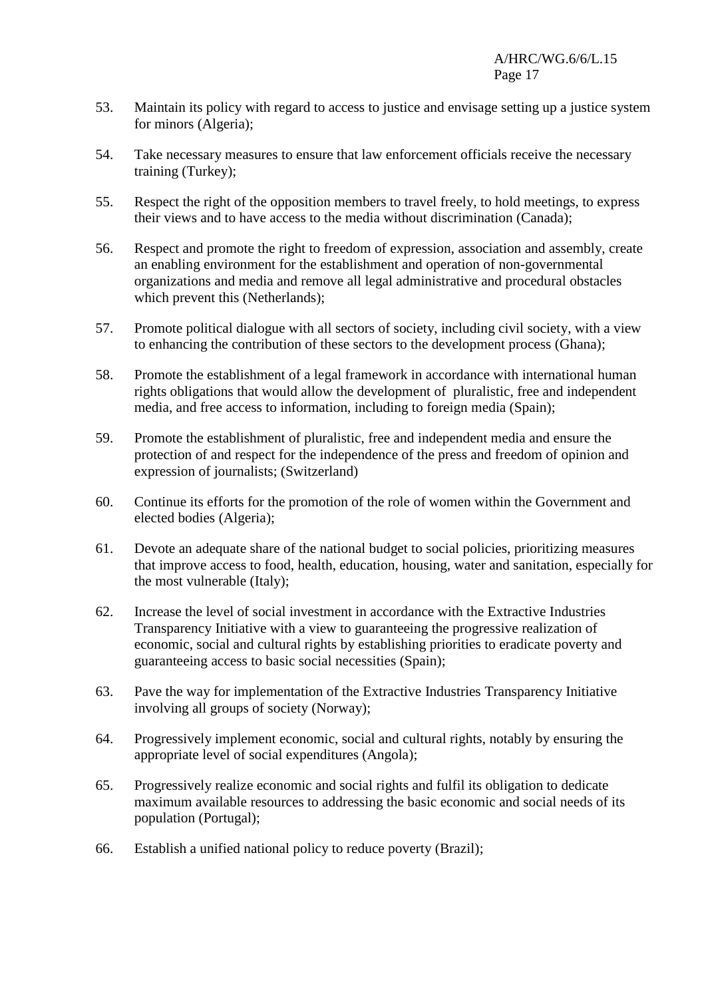- 53. Maintain its policy with regard to access to justice and envisage setting up a justice system for minors (Algeria);
- 54. Take necessary measures to ensure that law enforcement officials receive the necessary training (Turkey);
- 55. Respect the right of the opposition members to travel freely, to hold meetings, to express their views and to have access to the media without discrimination (Canada);
- 56. Respect and promote the right to freedom of expression, association and assembly, create an enabling environment for the establishment and operation of non-governmental organizations and media and remove all legal administrative and procedural obstacles which prevent this (Netherlands);
- 57. Promote political dialogue with all sectors of society, including civil society, with a view to enhancing the contribution of these sectors to the development process (Ghana);
- 58. Promote the establishment of a legal framework in accordance with international human rights obligations that would allow the development of pluralistic, free and independent media, and free access to information, including to foreign media (Spain);
- 59. Promote the establishment of pluralistic, free and independent media and ensure the protection of and respect for the independence of the press and freedom of opinion and expression of journalists; (Switzerland)
- 60. Continue its efforts for the promotion of the role of women within the Government and elected bodies (Algeria);
- 61. Devote an adequate share of the national budget to social policies, prioritizing measures that improve access to food, health, education, housing, water and sanitation, especially for the most vulnerable (Italy);
- 62. Increase the level of social investment in accordance with the Extractive Industries Transparency Initiative with a view to guaranteeing the progressive realization of economic, social and cultural rights by establishing priorities to eradicate poverty and guaranteeing access to basic social necessities (Spain);
- 63. Pave the way for implementation of the Extractive Industries Transparency Initiative involving all groups of society (Norway);
- 64. Progressively implement economic, social and cultural rights, notably by ensuring the appropriate level of social expenditures (Angola);
- 65. Progressively realize economic and social rights and fulfil its obligation to dedicate maximum available resources to addressing the basic economic and social needs of its population (Portugal);
- 66. Establish a unified national policy to reduce poverty (Brazil);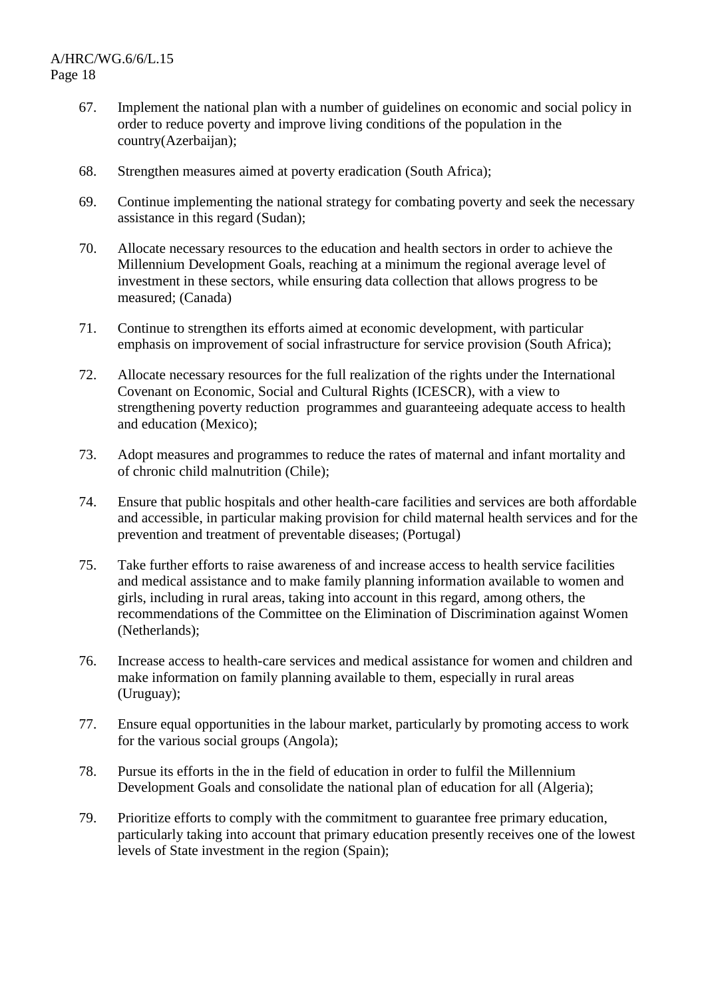- 67. Implement the national plan with a number of guidelines on economic and social policy in order to reduce poverty and improve living conditions of the population in the country(Azerbaijan);
- 68. Strengthen measures aimed at poverty eradication (South Africa);
- 69. Continue implementing the national strategy for combating poverty and seek the necessary assistance in this regard (Sudan);
- 70. Allocate necessary resources to the education and health sectors in order to achieve the Millennium Development Goals, reaching at a minimum the regional average level of investment in these sectors, while ensuring data collection that allows progress to be measured; (Canada)
- 71. Continue to strengthen its efforts aimed at economic development, with particular emphasis on improvement of social infrastructure for service provision (South Africa);
- 72. Allocate necessary resources for the full realization of the rights under the International Covenant on Economic, Social and Cultural Rights (ICESCR), with a view to strengthening poverty reduction programmes and guaranteeing adequate access to health and education (Mexico);
- 73. Adopt measures and programmes to reduce the rates of maternal and infant mortality and of chronic child malnutrition (Chile);
- 74. Ensure that public hospitals and other health-care facilities and services are both affordable and accessible, in particular making provision for child maternal health services and for the prevention and treatment of preventable diseases; (Portugal)
- 75. Take further efforts to raise awareness of and increase access to health service facilities and medical assistance and to make family planning information available to women and girls, including in rural areas, taking into account in this regard, among others, the recommendations of the Committee on the Elimination of Discrimination against Women (Netherlands);
- 76. Increase access to health-care services and medical assistance for women and children and make information on family planning available to them, especially in rural areas (Uruguay);
- 77. Ensure equal opportunities in the labour market, particularly by promoting access to work for the various social groups (Angola);
- 78. Pursue its efforts in the in the field of education in order to fulfil the Millennium Development Goals and consolidate the national plan of education for all (Algeria);
- 79. Prioritize efforts to comply with the commitment to guarantee free primary education, particularly taking into account that primary education presently receives one of the lowest levels of State investment in the region (Spain);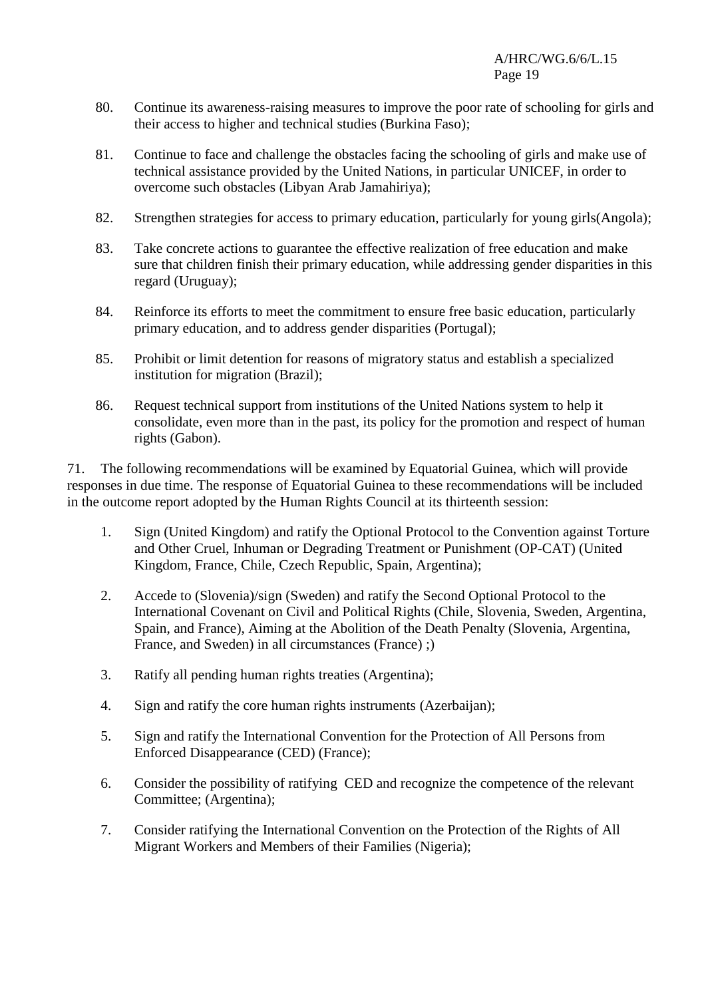- 80. Continue its awareness-raising measures to improve the poor rate of schooling for girls and their access to higher and technical studies (Burkina Faso);
- 81. Continue to face and challenge the obstacles facing the schooling of girls and make use of technical assistance provided by the United Nations, in particular UNICEF, in order to overcome such obstacles (Libyan Arab Jamahiriya);
- 82. Strengthen strategies for access to primary education, particularly for young girls(Angola);
- 83. Take concrete actions to guarantee the effective realization of free education and make sure that children finish their primary education, while addressing gender disparities in this regard (Uruguay);
- 84. Reinforce its efforts to meet the commitment to ensure free basic education, particularly primary education, and to address gender disparities (Portugal);
- 85. Prohibit or limit detention for reasons of migratory status and establish a specialized institution for migration (Brazil);
- 86. Request technical support from institutions of the United Nations system to help it consolidate, even more than in the past, its policy for the promotion and respect of human rights (Gabon).

71. The following recommendations will be examined by Equatorial Guinea, which will provide responses in due time. The response of Equatorial Guinea to these recommendations will be included in the outcome report adopted by the Human Rights Council at its thirteenth session:

- 1. Sign (United Kingdom) and ratify the Optional Protocol to the Convention against Torture and Other Cruel, Inhuman or Degrading Treatment or Punishment (OP-CAT) (United Kingdom, France, Chile, Czech Republic, Spain, Argentina);
- 2. Accede to (Slovenia)/sign (Sweden) and ratify the Second Optional Protocol to the International Covenant on Civil and Political Rights (Chile, Slovenia, Sweden, Argentina, Spain, and France), Aiming at the Abolition of the Death Penalty (Slovenia, Argentina, France, and Sweden) in all circumstances (France) ;)
- 3. Ratify all pending human rights treaties (Argentina);
- 4. Sign and ratify the core human rights instruments (Azerbaijan);
- 5. Sign and ratify the International Convention for the Protection of All Persons from Enforced Disappearance (CED) (France);
- 6. Consider the possibility of ratifying CED and recognize the competence of the relevant Committee; (Argentina);
- 7. Consider ratifying the International Convention on the Protection of the Rights of All Migrant Workers and Members of their Families (Nigeria);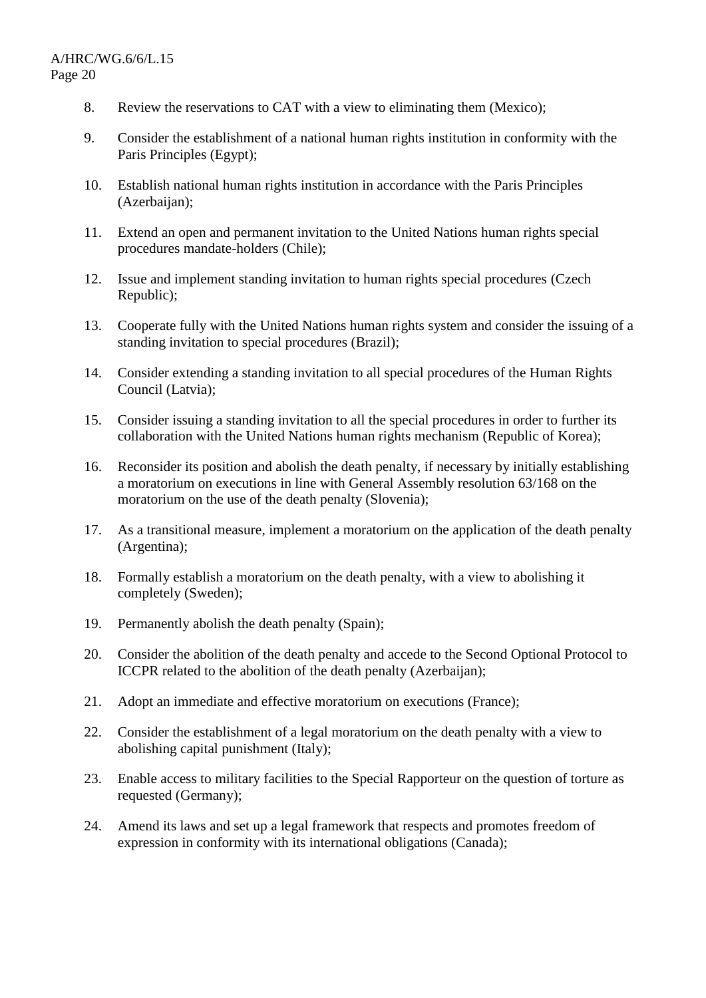- 8. Review the reservations to CAT with a view to eliminating them (Mexico);
- 9. Consider the establishment of a national human rights institution in conformity with the Paris Principles (Egypt);
- 10. Establish national human rights institution in accordance with the Paris Principles (Azerbaijan);
- 11. Extend an open and permanent invitation to the United Nations human rights special procedures mandate-holders (Chile);
- 12. Issue and implement standing invitation to human rights special procedures (Czech Republic);
- 13. Cooperate fully with the United Nations human rights system and consider the issuing of a standing invitation to special procedures (Brazil);
- 14. Consider extending a standing invitation to all special procedures of the Human Rights Council (Latvia);
- 15. Consider issuing a standing invitation to all the special procedures in order to further its collaboration with the United Nations human rights mechanism (Republic of Korea);
- 16. Reconsider its position and abolish the death penalty, if necessary by initially establishing a moratorium on executions in line with General Assembly resolution 63/168 on the moratorium on the use of the death penalty (Slovenia);
- 17. As a transitional measure, implement a moratorium on the application of the death penalty (Argentina);
- 18. Formally establish a moratorium on the death penalty, with a view to abolishing it completely (Sweden);
- 19. Permanently abolish the death penalty (Spain);
- 20. Consider the abolition of the death penalty and accede to the Second Optional Protocol to ICCPR related to the abolition of the death penalty (Azerbaijan);
- 21. Adopt an immediate and effective moratorium on executions (France);
- 22. Consider the establishment of a legal moratorium on the death penalty with a view to abolishing capital punishment (Italy);
- 23. Enable access to military facilities to the Special Rapporteur on the question of torture as requested (Germany);
- 24. Amend its laws and set up a legal framework that respects and promotes freedom of expression in conformity with its international obligations (Canada);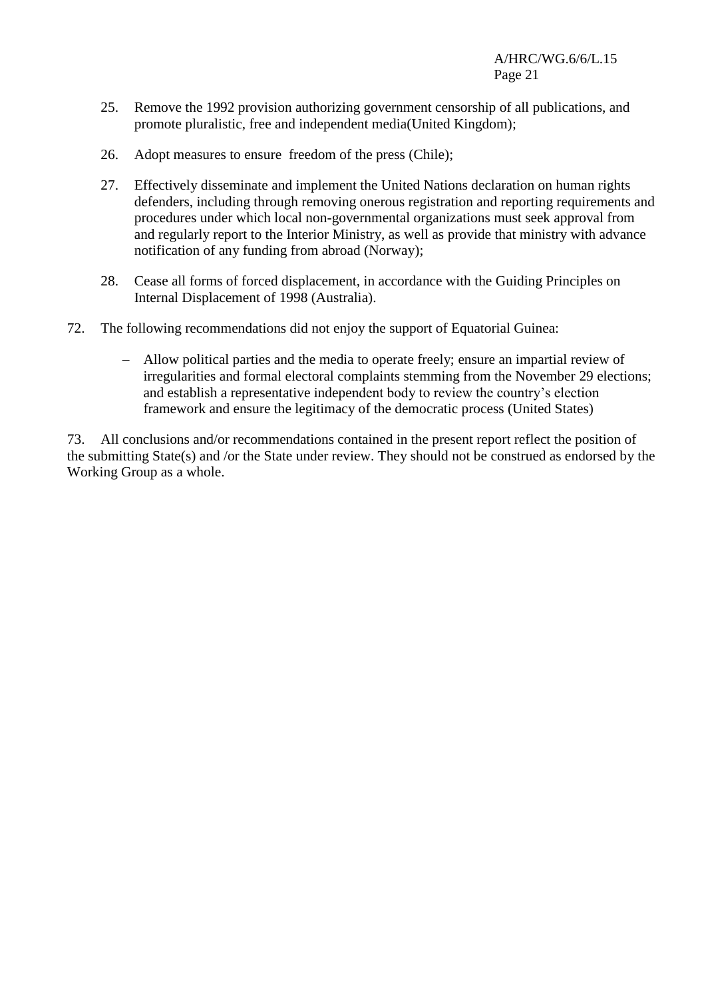- 25. Remove the 1992 provision authorizing government censorship of all publications, and promote pluralistic, free and independent media(United Kingdom);
- 26. Adopt measures to ensure freedom of the press (Chile);
- 27. Effectively disseminate and implement the United Nations declaration on human rights defenders, including through removing onerous registration and reporting requirements and procedures under which local non-governmental organizations must seek approval from and regularly report to the Interior Ministry, as well as provide that ministry with advance notification of any funding from abroad (Norway);
- 28. Cease all forms of forced displacement, in accordance with the Guiding Principles on Internal Displacement of 1998 (Australia).
- 72. The following recommendations did not enjoy the support of Equatorial Guinea:
	- Allow political parties and the media to operate freely; ensure an impartial review of irregularities and formal electoral complaints stemming from the November 29 elections; and establish a representative independent body to review the country's election framework and ensure the legitimacy of the democratic process (United States)

73. All conclusions and/or recommendations contained in the present report reflect the position of the submitting State(s) and /or the State under review. They should not be construed as endorsed by the Working Group as a whole.